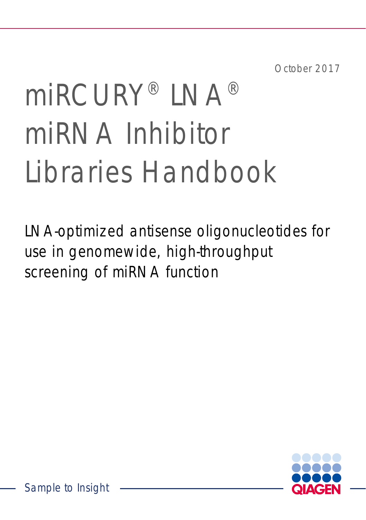October 2017

# miRCURY® LNA® miRNA Inhibitor Libraries Handbook

LNA-optimized antisense oligonucleotides for use in genomewide, high-throughput screening of miRNA function

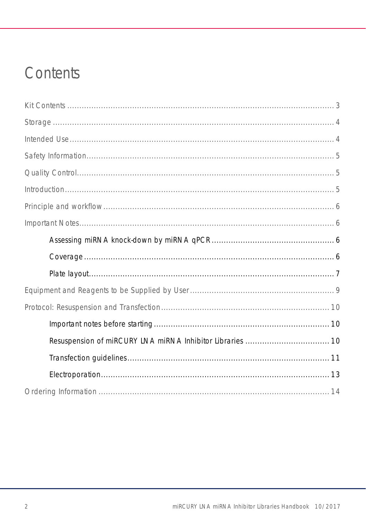### Contents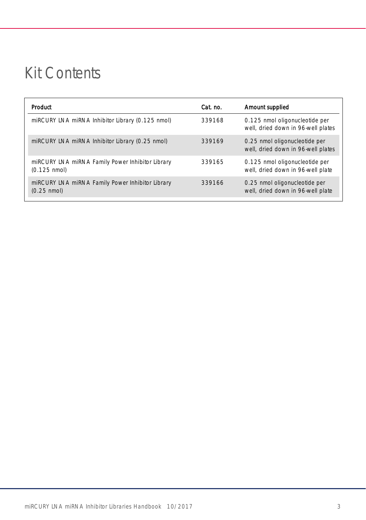### <span id="page-2-0"></span>Kit Contents

| Product                                                                    | Cat. no. | Amount supplied                                                      |
|----------------------------------------------------------------------------|----------|----------------------------------------------------------------------|
| miRCURY LNA miRNA Inhibitor Library (0.125 nmol)                           | 339168   | 0.125 nmol oligonucleotide per<br>well, dried down in 96-well plates |
| miRCURY LNA miRNA Inhibitor Library (0.25 nmol)                            | 339169   | 0.25 nmol oligonucleotide per<br>well, dried down in 96-well plates  |
| miRCURY LNA miRNA Family Power Inhibitor Library<br>$(0.125 \text{ nmol})$ | 339165   | 0.125 nmol oligonucleotide per<br>well, dried down in 96-well plate  |
| miRCURY LNA miRNA Family Power Inhibitor Library<br>$(0.25 \text{ nmol})$  | 339166   | 0.25 nmol oligonucleotide per<br>well, dried down in 96-well plate   |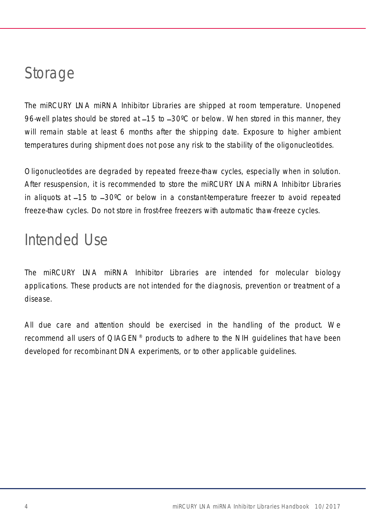### <span id="page-3-0"></span>Storage

The miRCURY LNA miRNA Inhibitor Libraries are shipped at room temperature. Unopened 96-well plates should be stored at  $-15$  to  $-30^{\circ}$ C or below. When stored in this manner, they will remain stable at least 6 months after the shipping date. Exposure to higher ambient temperatures during shipment does not pose any risk to the stability of the oligonucleotides.

Oligonucleotides are degraded by repeated freeze-thaw cycles, especially when in solution. After resuspension, it is recommended to store the miRCURY LNA miRNA Inhibitor Libraries in aliquots at  $-15$  to  $-30^{\circ}$ C or below in a constant-temperature freezer to avoid repeated freeze-thaw cycles. Do not store in frost-free freezers with automatic thaw-freeze cycles.

### <span id="page-3-1"></span>Intended Use

The miRCURY LNA miRNA Inhibitor Libraries are intended for molecular biology applications. These products are not intended for the diagnosis, prevention or treatment of a disease.

All due care and attention should be exercised in the handling of the product. We recommend all users of QIAGEN® products to adhere to the NIH guidelines that have been developed for recombinant DNA experiments, or to other applicable guidelines.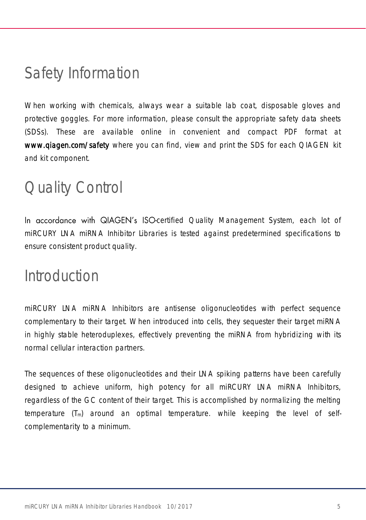### <span id="page-4-0"></span>Safety Information

When working with chemicals, always wear a suitable lab coat, disposable gloves and protective goggles. For more information, please consult the appropriate safety data sheets (SDSs). These are available online in convenient and compact PDF format at [www.qiagen.com/safety](http://www.qiagen.com/safety) where you can find, view and print the SDS for each QIAGEN kit and kit component.

### <span id="page-4-1"></span>Quality Control

In accordance with QIAGEN's ISO-certified Quality Management System, each lot of miRCURY LNA miRNA Inhibitor Libraries is tested against predetermined specifications to ensure consistent product quality.

### <span id="page-4-2"></span>Introduction

miRCURY LNA miRNA Inhibitors are antisense oligonucleotides with perfect sequence complementary to their target. When introduced into cells, they sequester their target miRNA in highly stable heteroduplexes, effectively preventing the miRNA from hybridizing with its normal cellular interaction partners.

The sequences of these oligonucleotides and their LNA spiking patterns have been carefully designed to achieve uniform, high potency for all miRCURY LNA miRNA Inhibitors, regardless of the GC content of their target. This is accomplished by normalizing the melting temperature (Tm) around an optimal temperature. while keeping the level of selfcomplementarity to a minimum.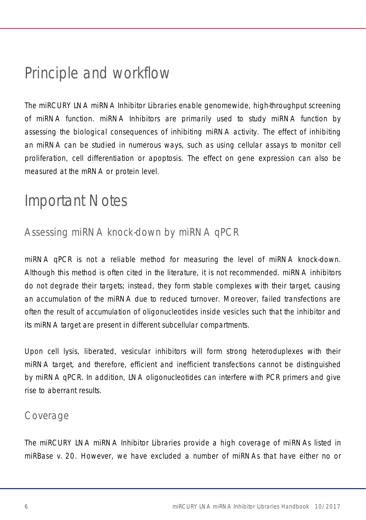### <span id="page-5-0"></span>Principle and workflow

The miRCURY LNA miRNA Inhibitor Libraries enable genomewide, high-throughput screening of miRNA function. miRNA Inhibitors are primarily used to study miRNA function by assessing the biological consequences of inhibiting miRNA activity. The effect of inhibiting an miRNA can be studied in numerous ways, such as using cellular assays to monitor cell proliferation, cell differentiation or apoptosis. The effect on gene expression can also be measured at the mRNA or protein level.

### <span id="page-5-1"></span>Important Notes

### <span id="page-5-2"></span>Assessing miRNA knock-down by miRNA qPCR

miRNA qPCR is not a reliable method for measuring the level of miRNA knock-down. Although this method is often cited in the literature, it is not recommended. miRNA inhibitors do not degrade their targets; instead, they form stable complexes with their target, causing an accumulation of the miRNA due to reduced turnover. Moreover, failed transfections are often the result of accumulation of oligonucleotides inside vesicles such that the inhibitor and its miRNA target are present in different subcellular compartments.

Upon cell lysis, liberated, vesicular inhibitors will form strong heteroduplexes with their miRNA target, and therefore, efficient and inefficient transfections cannot be distinguished by miRNA qPCR. In addition, LNA oligonucleotides can interfere with PCR primers and give rise to aberrant results.

#### <span id="page-5-3"></span>Coverage

The miRCURY LNA miRNA Inhibitor Libraries provide a high coverage of miRNAs listed in miRBase v. 20. However, we have excluded a number of miRNAs that have either no or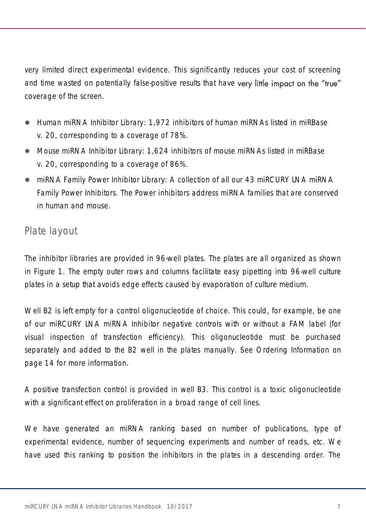very limited direct experimental evidence. This significantly reduces your cost of screening and time wasted on potentially false-positive results that have very little impact on the "true" coverage of the screen.

- Human miRNA Inhibitor Library: 1,972 inhibitors of human miRNAs listed in miRBase v. 20, corresponding to a coverage of 78%.
- Mouse miRNA Inhibitor Library: 1,624 inhibitors of mouse miRNAs listed in miRBase v. 20, corresponding to a coverage of 86%.
- miRNA Family Power Inhibitor Library: A collection of all our 43 miRCURY LNA miRNA Family Power Inhibitors. The Power inhibitors address miRNA families that are conserved in human and mouse.

#### <span id="page-6-0"></span>Plate layout

The inhibitor libraries are provided in 96-well plates. The plates are all organized as shown in [Figure 1.](#page-7-0) The empty outer rows and columns facilitate easy pipetting into 96-well culture plates in a setup that avoids edge effects caused by evaporation of culture medium.

Well B2 is left empty for a control oligonucleotide of choice. This could, for example, be one of our miRCURY LNA miRNA Inhibitor negative controls with or without a FAM label (for visual inspection of transfection efficiency). This oligonucleotide must be purchased separately and added to the B2 well in the plates manually. See [Ordering Information](#page-13-0) on page [14](#page-13-0) for more information.

A positive transfection control is provided in well B3. This control is a toxic oligonucleotide with a significant effect on proliferation in a broad range of cell lines.

We have generated an miRNA ranking based on number of publications, type of experimental evidence, number of sequencing experiments and number of reads, etc. We have used this ranking to position the inhibitors in the plates in a descending order. The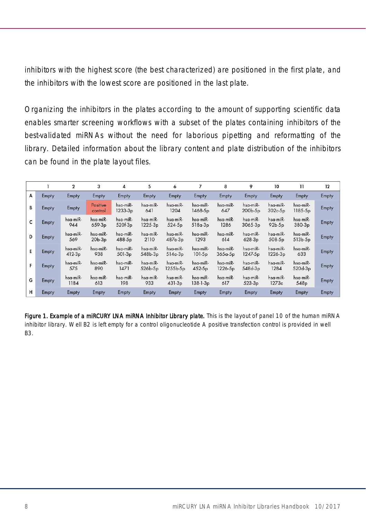inhibitors with the highest score (the best characterized) are positioned in the first plate, and the inhibitors with the lowest score are positioned in the last plate.

Organizing the inhibitors in the plates according to the amount of supporting scientific data enables smarter screening workflows with a subset of the plates containing inhibitors of the best-validated miRNAs without the need for laborious pipetting and reformatting of the library. Detailed information about the library content and plate distribution of the inhibitors can be found in the plate layout files.

|   |       | $\overline{\mathbf{2}}$ | 3                              | 4                               | 5                     | 6                     |                                  | 8                               | 9                               | 10                              | $\overline{11}$              | 12    |
|---|-------|-------------------------|--------------------------------|---------------------------------|-----------------------|-----------------------|----------------------------------|---------------------------------|---------------------------------|---------------------------------|------------------------------|-------|
| A | Empty | Empty                   | <b>Empty</b>                   | Empty                           | <b>Empty</b>          | Empty                 | Empty                            | Empty                           | Empty                           | Empty                           | Empty                        | Empty |
| В | Empty | Empty                   | Positive<br>control            | hsa-miR-<br>1233-3 <sub>p</sub> | hsa-miR-<br>641       | hsa-miR-<br>1204      | hsa-miR-<br>1468-5p              | hsa-miR-<br>647                 | hsa-miR-<br>200b-5p             | hsa-miR-<br>$302c-5p$           | hsa-miR-<br>$1185-5p$        | Empty |
| c | Empty | hsa-miR-<br>944         | hsa-miR-<br>659-3 <sub>p</sub> | hsa-miR-<br>520f-3 <sub>p</sub> | hsa-miR-<br>1225-3p   | hsa-miR-<br>524-5p    | hsa-miR-<br>$518a-3p$            | hsa-miR-<br>1286                | hsa-miR-<br>$3065 - 3p$         | hsa-miR-<br>$92b-5p$            | hsa-miR-<br>$380-3p$         | Empty |
| D | Empty | hsa-miR-<br>569         | hsa-miR-<br>$20b-3p$           | hsa-miR-<br>488-5p              | hsa-miR-<br>2110      | hsa-miR-<br>$487a-3p$ | hsa-miR-<br>1293                 | hsa-miR-<br>614                 | hsa-miR-<br>$628-3p$            | hsa-miR-<br>$508-5p$            | hsa-miR-<br>$513b-5p$        | Empty |
| E | Empty | hsa-miR-<br>$412-3p$    | hsa-miR-<br>938                | hsa-miR-<br>$501-3p$            | hsa-miR-<br>$548b-3p$ | hsa-miR-<br>$514a-3p$ | hsa-miR-<br>$101-5p$             | hsa-miR-<br>$365a-5p$           | hsa-miR-<br>1247-5 <sub>p</sub> | hsa-miR-<br>1226-3 <sub>p</sub> | hsa-miR-<br>633              | Empty |
| F | Empty | hsa-miR-<br>575         | hsa-miR-<br>890                | hsa-miR-<br>1471                | hsa-miR-<br>526b-5p   | hsa-miR-<br>1255b-5p  | hsa-miR-<br>$452-5p$             | hsa-miR-<br>1226-5 <sub>p</sub> | hsa-miR-<br>548d-3p             | hsa-miR-<br>1284                | hsa-miR-<br>$520d-3p$        | Empty |
| G | Empty | hsa-miR-<br>1184        | hsa-miR-<br>613                | hsa-miR-<br>198                 | hsa-miR-<br>933       | hsa-miR-<br>$431-3p$  | hsa-miR-<br>138-1-3 <sub>p</sub> | hsa-miR-<br>617                 | hsa-miR-<br>$523-3p$            | hsa-miR-<br>1273c               | hsa-miR-<br>548 <sub>p</sub> | Empty |
| н | Empty | Empty                   | Empty                          | Empty                           | Empty                 | Empty                 | Empty                            | Empty                           | Empty                           | Empty                           | Empty                        | Empty |

<span id="page-7-0"></span>Figure 1. Example of a miRCURY LNA miRNA Inhibitor Library plate. This is the layout of panel 10 of the human miRNA inhibitor library. Well B2 is left empty for a control oligonucleotide A positive transfection control is provided in well B3.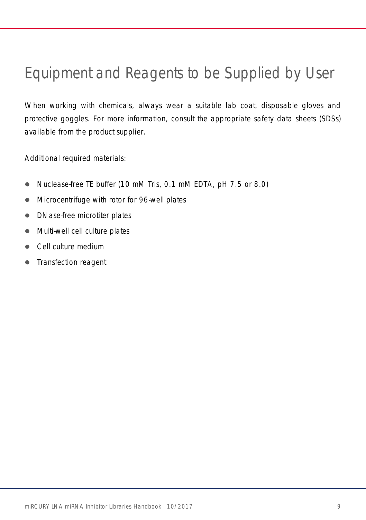## <span id="page-8-0"></span>Equipment and Reagents to be Supplied by User

When working with chemicals, always wear a suitable lab coat, disposable gloves and protective goggles. For more information, consult the appropriate safety data sheets (SDSs) available from the product supplier.

Additional required materials:

- Nuclease-free TE buffer (10 mM Tris, 0.1 mM EDTA, pH 7.5 or 8.0)
- Microcentrifuge with rotor for 96-well plates
- DNase-free microtiter plates
- Multi-well cell culture plates
- Cell culture medium
- Transfection reagent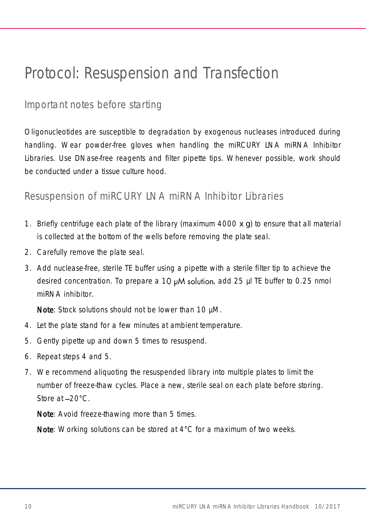### <span id="page-9-0"></span>Protocol: Resuspension and Transfection

#### <span id="page-9-1"></span>Important notes before starting

Oligonucleotides are susceptible to degradation by exogenous nucleases introduced during handling. Wear powder-free gloves when handling the miRCURY LNA miRNA Inhibitor Libraries. Use DNase-free reagents and filter pipette tips. Whenever possible, work should be conducted under a tissue culture hood.

#### <span id="page-9-2"></span>Resuspension of miRCURY LNA miRNA Inhibitor Libraries

- 1. Briefly centrifuge each plate of the library (maximum 4000 *x g*) to ensure that all material is collected at the bottom of the wells before removing the plate seal.
- 2. Carefully remove the plate seal.
- 3. Add nuclease-free, sterile TE buffer using a pipette with a sterile filter tip to achieve the desired concentration. To prepare a 10  $\mu$ M solution, add 25  $\mu$ l TE buffer to 0.25 nmol miRNA inhibitor.

Note: Stock solutions should not be lower than 10 µM.

- <span id="page-9-3"></span>4. Let the plate stand for a few minutes at ambient temperature.
- <span id="page-9-4"></span>5. Gently pipette up and down 5 times to resuspend.
- 6. Repeat steps [4](#page-9-3) and [5.](#page-9-4)
- 7. We recommend aliquoting the resuspended library into multiple plates to limit the number of freeze-thaw cycles. Place a new, sterile seal on each plate before storing. Store at  $-20^{\circ}$ C.

Note: Avoid freeze-thawing more than 5 times.

Note: Working solutions can be stored at 4°C for a maximum of two weeks.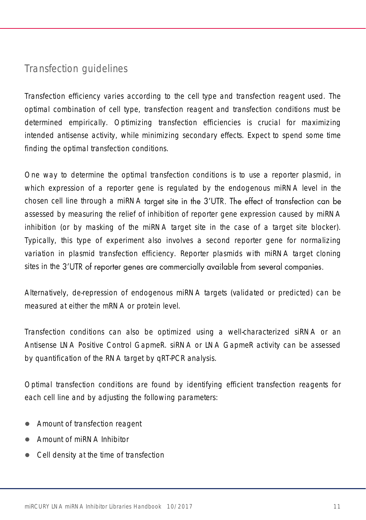### <span id="page-10-0"></span>Transfection guidelines

Transfection efficiency varies according to the cell type and transfection reagent used. The optimal combination of cell type, transfection reagent and transfection conditions must be determined empirically. Optimizing transfection efficiencies is crucial for maximizing intended antisense activity, while minimizing secondary effects. Expect to spend some time finding the optimal transfection conditions.

One way to determine the optimal transfection conditions is to use a reporter plasmid, in which expression of a reporter gene is regulated by the endogenous miRNA level in the chosen cell line through a miRNA target site in the 3'UTR. The effect of transfection can be assessed by measuring the relief of inhibition of reporter gene expression caused by miRNA inhibition (or by masking of the miRNA target site in the case of a target site blocker). Typically, this type of experiment also involves a second reporter gene for normalizing variation in plasmid transfection efficiency. Reporter plasmids with miRNA target cloning sites in the 3'UTR of reporter genes are commercially available from several companies.

Alternatively, de-repression of endogenous miRNA targets (validated or predicted) can be measured at either the mRNA or protein level.

Transfection conditions can also be optimized using a well-characterized siRNA or an Antisense LNA Positive Control GapmeR. siRNA or LNA GapmeR activity can be assessed by quantification of the RNA target by qRT-PCR analysis.

Optimal transfection conditions are found by identifying efficient transfection reagents for each cell line and by adjusting the following parameters:

- Amount of transfection reagent
- Amount of miRNA Inhibitor
- Cell density at the time of transfection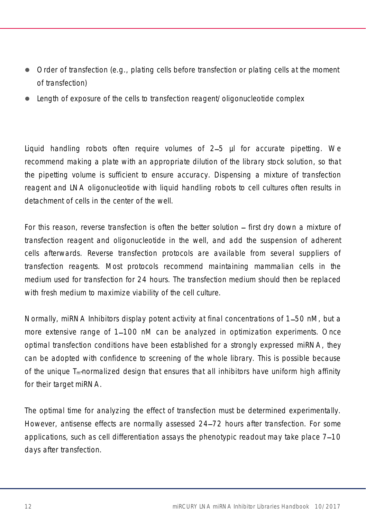- Order of transfection (e.g., plating cells before transfection or plating cells at the moment of transfection)
- Length of exposure of the cells to transfection reagent/oligonucleotide complex

Liquid handling robots often require volumes of 2–5 µl for accurate pipetting. We recommend making a plate with an appropriate dilution of the library stock solution, so that the pipetting volume is sufficient to ensure accuracy. Dispensing a mixture of transfection reagent and LNA oligonucleotide with liquid handling robots to cell cultures often results in detachment of cells in the center of the well.

For this reason, reverse transfection is often the better solution – first dry down a mixture of transfection reagent and oligonucleotide in the well, and add the suspension of adherent cells afterwards. Reverse transfection protocols are available from several suppliers of transfection reagents. Most protocols recommend maintaining mammalian cells in the medium used for transfection for 24 hours. The transfection medium should then be replaced with fresh medium to maximize viability of the cell culture.

Normally, miRNA Inhibitors display potent activity at final concentrations of 1–50 nM, but a more extensive range of 1–100 nM can be analyzed in optimization experiments. Once optimal transfection conditions have been established for a strongly expressed miRNA, they can be adopted with confidence to screening of the whole library. This is possible because of the unique  $T_m$ -normalized design that ensures that all inhibitors have uniform high affinity for their target miRNA.

The optimal time for analyzing the effect of transfection must be determined experimentally. However, antisense effects are normally assessed 24–72 hours after transfection. For some applications, such as cell differentiation assays the phenotypic readout may take place 7–10 days after transfection.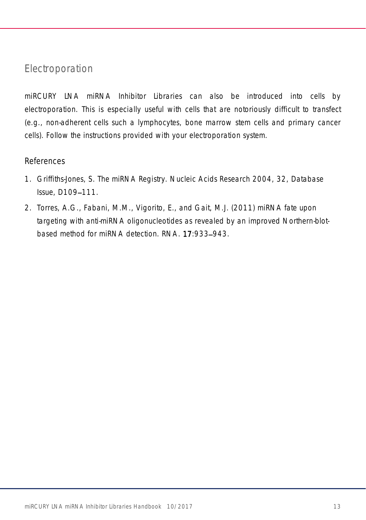#### <span id="page-12-0"></span>Electroporation

miRCURY LNA miRNA Inhibitor Libraries can also be introduced into cells by electroporation. This is especially useful with cells that are notoriously difficult to transfect (e.g., non-adherent cells such a lymphocytes, bone marrow stem cells and primary cancer cells). Follow the instructions provided with your electroporation system.

#### References

- 1. Griffiths-Jones, S. The miRNA Registry. Nucleic Acids Research 2004, 32, Database Issue, D109-111.
- 2. Torres, A.G., Fabani, M.M., Vigorito, E., and Gait, M.J. (2011) miRNA fate upon targeting with anti-miRNA oligonucleotides as revealed by an improved Northern-blotbased method for miRNA detection. RNA. 17:933-943.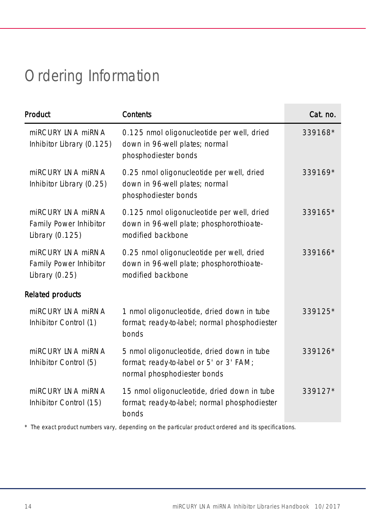# <span id="page-13-0"></span>Ordering Information

| Product                                                         | Contents                                                                                                             | Cat. no. |
|-----------------------------------------------------------------|----------------------------------------------------------------------------------------------------------------------|----------|
| miRCURY INA miRNA<br>Inhibitor Library (0.125)                  | 0.125 nmol oligonucleotide per well, dried<br>down in 96-well plates; normal<br>phosphodiester bonds                 | 339168*  |
| miRCURY LNA miRNA<br>Inhibitor Library (0.25)                   | 0.25 nmol oligonucleotide per well, dried<br>down in 96-well plates; normal<br>phosphodiester bonds                  | 339169*  |
| miRCURY INA miRNA<br>Family Power Inhibitor<br>Library (0.125)  | 0.125 nmol oligonucleotide per well, dried<br>down in 96-well plate; phosphorothioate-<br>modified backbone          | 339165*  |
| miRCURY LNA miRNA<br>Family Power Inhibitor<br>Library $(0.25)$ | 0.25 nmol oligonucleotide per well, dried<br>down in 96-well plate; phosphorothioate-<br>modified backbone           | 339166*  |
| Related products                                                |                                                                                                                      |          |
| miRCURY INA miRNA<br>Inhibitor Control (1)                      | 1 nmol oligonucleotide, dried down in tube<br>format; ready-to-label; normal phosphodiester<br>bonds                 | 339125*  |
| miRCURY LNA miRNA<br>Inhibitor Control (5)                      | 5 nmol oligonucleotide, dried down in tube<br>format; ready-to-label or 5' or 3' FAM;<br>normal phosphodiester bonds | 339126*  |
| miRCURY INA miRNA<br>Inhibitor Control (15)                     | 15 nmol oligonucleotide, dried down in tube<br>format; ready-to-label; normal phosphodiester<br>bonds                | 339127*  |

\* The exact product numbers vary, depending on the particular product ordered and its specifications.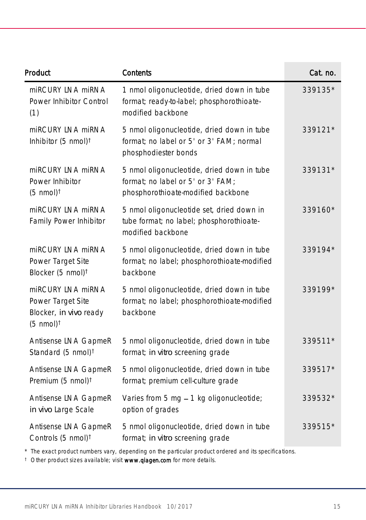| Product                                                                                          | Contents                                                                                                              | Cat. no. |
|--------------------------------------------------------------------------------------------------|-----------------------------------------------------------------------------------------------------------------------|----------|
| miRCURY LNA miRNA<br>Power Inhibitor Control<br>(1)                                              | 1 nmol oligonucleotide, dried down in tube<br>format; ready-to-label; phosphorothioate-<br>modified backbone          | 339135*  |
| miRCURY LNA miRNA<br>Inhibitor (5 nmol) <sup>t</sup>                                             | 5 nmol oligonucleotide, dried down in tube<br>format; no label or 5' or 3' FAM; normal<br>phosphodiester bonds        | 339121*  |
| miRCURY LNA miRNA<br>Power Inhibitor<br>$(5 \text{ nmol})^{\dagger}$                             | 5 nmol oligonucleotide, dried down in tube<br>format; no label or 5' or 3' FAM;<br>phosphorothioate-modified backbone | 339131*  |
| miRCURY LNA miRNA<br>Family Power Inhibitor                                                      | 5 nmol oligonucleotide set, dried down in<br>tube format; no label; phosphorothioate-<br>modified backbone            | 339160*  |
| miRCURY LNA miRNA<br>Power Target Site<br>Blocker (5 nmol) <sup>t</sup>                          | 5 nmol oligonucleotide, dried down in tube<br>format; no label; phosphorothioate-modified<br>backbone                 | 339194*  |
| miRCURY LNA miRNA<br>Power Target Site<br>Blocker, in vivo ready<br>$(5 \text{ nmol})^{\dagger}$ | 5 nmol oligonucleotide, dried down in tube<br>format; no label; phosphorothioate-modified<br>backbone                 | 339199*  |
| Antisense LNA GapmeR<br>Standard (5 nmol) <sup>t</sup>                                           | 5 nmol oligonucleotide, dried down in tube<br>format; in vitro screening grade                                        | 339511*  |
| Antisense LNA GapmeR<br>Premium (5 nmol) <sup>†</sup>                                            | 5 nmol oligonucleotide, dried down in tube<br>format; premium cell-culture grade                                      | 339517*  |
| Antisense LNA GapmeR<br>in vivo Large Scale                                                      | Varies from 5 mg - 1 kg oligonucleotide;<br>option of grades                                                          | 339532*  |
| Antisense LNA GapmeR<br>Controls (5 nmol) <sup>t</sup>                                           | 5 nmol oligonucleotide, dried down in tube<br>format; in vitro screening grade                                        | 339515*  |

\* The exact product numbers vary, depending on the particular product ordered and its specifications.

<sup>†</sup> Other product sizes available; visit **[www.qiagen.com](http://www.qiagen.com/)** for more details.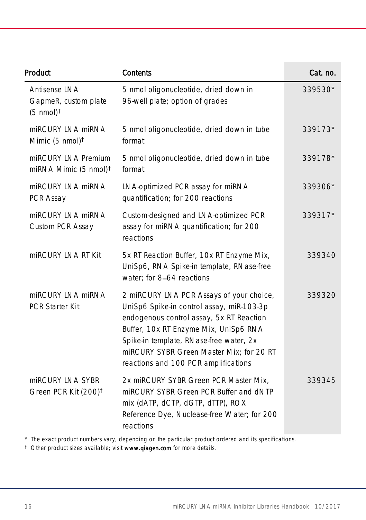| Product                                                               | Contents                                                                                                                                                                                                                                                                                                  | Cat. no. |
|-----------------------------------------------------------------------|-----------------------------------------------------------------------------------------------------------------------------------------------------------------------------------------------------------------------------------------------------------------------------------------------------------|----------|
| Antisense LNA<br>GapmeR, custom plate<br>$(5 \text{ nmol})^{\dagger}$ | 5 nmol oligonucleotide, dried down in<br>96-well plate; option of grades                                                                                                                                                                                                                                  | 339530*  |
| miRCURY INA miRNA<br>Mimic $(5 \text{ nmol})^{\dagger}$               | 5 nmol oligonucleotide, dried down in tube<br>format                                                                                                                                                                                                                                                      | 339173*  |
| miRCURY LNA Premium<br>miRNA Mimic (5 nmol) <sup>t</sup>              | 5 nmol oligonucleotide, dried down in tube<br>format                                                                                                                                                                                                                                                      | 339178*  |
| miRCURY LNA miRNA<br>PCR Assay                                        | LNA-optimized PCR assay for miRNA<br>quantification; for 200 reactions                                                                                                                                                                                                                                    | 339306*  |
| miRCURY LNA miRNA<br>Custom PCR Assay                                 | Custom-designed and LNA-optimized PCR<br>assay for miRNA quantification; for 200<br>reactions                                                                                                                                                                                                             | 339317*  |
| miRCURY LNA RT Kit                                                    | 5x RT Reaction Buffer, 10x RT Enzyme Mix,<br>UniSp6, RNA Spike-in template, RNase-free<br>water; for 8-64 reactions                                                                                                                                                                                       | 339340   |
| miRCURY LNA miRNA<br>PCR Starter Kit                                  | 2 miRCURY LNA PCR Assays of your choice,<br>UniSp6 Spike-in control assay, miR-103-3p<br>endogenous control assay, 5x RT Reaction<br>Buffer, 10x RT Enzyme Mix, UniSp6 RNA<br>Spike-in template, RNase-free water, 2x<br>miRCURY SYBR Green Master Mix; for 20 RT<br>reactions and 100 PCR amplifications | 339320   |
| miRCURY LNA SYBR<br>Green PCR Kit (200) <sup>t</sup>                  | 2x miRCURY SYBR Green PCR Master Mix,<br>miRCURY SYBR Green PCR Buffer and dNTP<br>mix (dATP, dCTP, dGTP, dTTP), ROX<br>Reference Dye, Nuclease-free Water; for 200<br>reactions                                                                                                                          | 339345   |

\* The exact product numbers vary, depending on the particular product ordered and its specifications.

<sup>t</sup> Other product sizes available; visit www.qlagen.com for more details.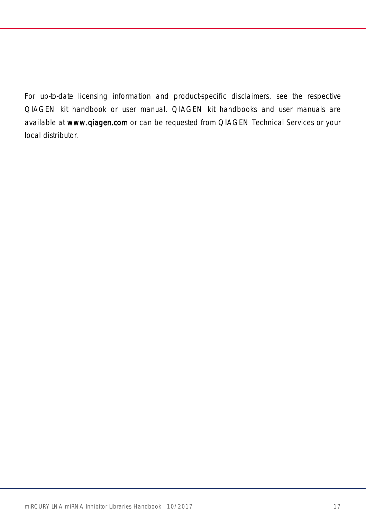For up-to-date licensing information and product-specific disclaimers, see the respective QIAGEN kit handbook or user manual. QIAGEN kit handbooks and user manuals are available at www.qiagen.com or can be requested from QIAGEN Technical Services or your local distributor.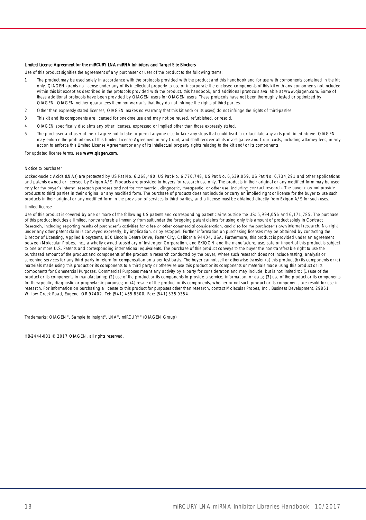#### Limited License Agreement for the miRCURY LNA miRNA Inhibitors and Target Site Blockers

Use of this product signifies the agreement of any purchaser or user of the product to the following terms:

- 1. The product may be used solely in accordance with the protocols provided with the product and this handbook and for use with components contained in the kit only. QIAGEN grants no license under any of its intellectual property to use or incorporate the enclosed components of this kit with any components not included within this kit except as described in the protocols provided with the product, this handbook, and additional protocols available at www.qiagen.com. Some of these additional protocols have been provided by QIAGEN users for QIAGEN users. These protocols have not been thoroughly tested or optimized by QIAGEN. QIAGEN neither guarantees them nor warrants that they do not infringe the rights of third-parties.
- 2. Other than expressly stated licenses, QIAGEN makes no warranty that this kit and/or its use(s) do not infringe the rights of third-parties.
- 3. This kit and its components are licensed for one-time use and may not be reused, refurbished, or resold.
- 4. QIAGEN specifically disclaims any other licenses, expressed or implied other than those expressly stated.
- 5. The purchaser and user of the kit agree not to take or permit anyone else to take any steps that could lead to or facilitate any acts prohibited above. QIAGEN may enforce the prohibitions of this Limited License Agreement in any Court, and shall recover all its investigative and Court costs, including attorney fees, in any action to enforce this Limited License Agreement or any of its intellectual property rights relating to the kit and/or its components.

For updated license terms, see www.qlagen.com.

#### Notice to purchaser

Locked-nucleic Acids (LNAs) are protected by US Pat No. 6,268,490, US Pat No. 6,770,748, US Pat No. 6,639,059, US Pat No. 6,734,291 and other applications and patents owned or licensed by Exigon A/S. Products are provided to buyers for research use only. The products in their original or any modified form may be used only for the buyer's internal research purposes and not for commercial, diagnostic, therapeutic, or other use, including contract research. The buyer may not provide products to third parties in their original or any modified form. The purchase of products does not include or carry an implied right or license for the buyer to use such products in their original or any modified form in the provision of services to third parties, and a license must be obtained directly from Exiqon A/S for such uses. Limited license

Use of this product is covered by one or more of the following US patents and corresponding patent claims outside the US: 5,994,056 and 6,171,785. The purchase of this product includes a limited, nontransferable immunity from suit under the foregoing patent claims for using only this amount of product solely in Contract Research, including reporting results of purchaser's activities for a fee or other commercial consideration, and also for the purchaser's own internal research. No right under any other patent claim is conveyed expressly, by implication, or by estoppel. Further information on purchasing licenses may be obtained by contacting the Director of Licensing, Applied Biosystems, 850 Lincoln Centre Drive, Foster City, California 94404, USA. Furthermore, this product is provided under an agreement between Molecular Probes, Inc., a wholly owned subsidiary of Invitrogen Corporation, and EXIQON and the manufacture, use, sale or import of this product is subject to one or more U.S. Patents and corresponding international equivalents. The purchase of this product conveys to the buyer the non-transferable right to use the purchased amount of the product and components of the product in research conducted by the buyer, where such research does not include testing, analysis or screening services for any third party in return for compensation on a per test basis. The buyer cannot sell or otherwise transfer (a) this product (b) its components or (c) materials made using this product or its components to a third party or otherwise use this product or its components or materials made using this product or its components for Commercial Purposes. Commercial Purposes means any activity by a party for consideration and may include, but is not limited to: (1) use of the product or its components in manufacturing; (2) use of the product or its components to provide a service, information, or data; (3) use of the product or its components for therapeutic, diagnostic or prophylactic purposes; or (4) resale of the product or its components, whether or not such product or its components are resold for use in research. For information on purchasing a license to this product for purposes other than research, contact Molecular Probes, Inc., Business Development, 29851 Willow Creek Road, Eugene, OR 97402. Tel: (541) 465-8300, Fax: (541) 335-0354.

Trademarks: QIAGEN®, Sample to Insight®, LNA®, miRCURY® (QIAGEN Group).

HB-2444-001 © 2017 QIAGEN, all rights reserved.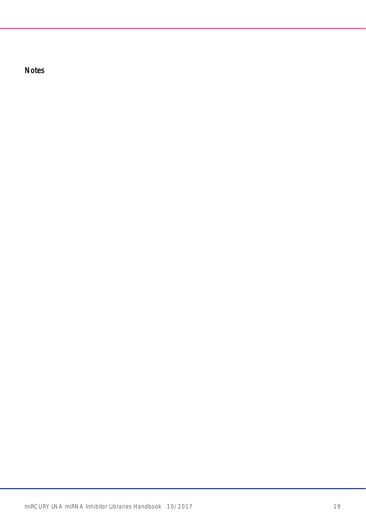Notes